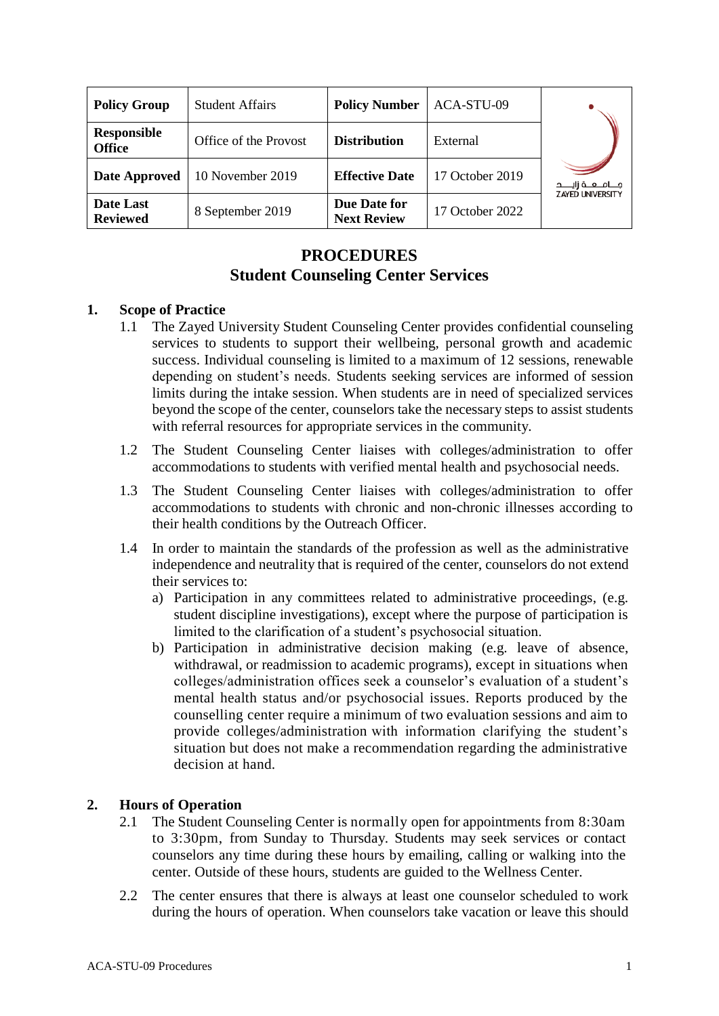| <b>Policy Group</b>                 | <b>Student Affairs</b> | <b>Policy Number</b>               | ACA-STU-09      |                          |
|-------------------------------------|------------------------|------------------------------------|-----------------|--------------------------|
| <b>Responsible</b><br><b>Office</b> | Office of the Provost  | <b>Distribution</b>                | External        |                          |
| <b>Date Approved</b>                | 10 November 2019       | <b>Effective Date</b>              | 17 October 2019 | مــــامـــــه زايــــــد |
| Date Last<br><b>Reviewed</b>        | 8 September 2019       | Due Date for<br><b>Next Review</b> | 17 October 2022 | <b>ZAYED UNIVERSITY</b>  |

# **PROCEDURES Student Counseling Center Services**

## **1. Scope of Practice**

- 1.1 The Zayed University Student Counseling Center provides confidential counseling services to students to support their wellbeing, personal growth and academic success. Individual counseling is limited to a maximum of 12 sessions, renewable depending on student's needs. Students seeking services are informed of session limits during the intake session. When students are in need of specialized services beyond the scope of the center, counselors take the necessary steps to assist students with referral resources for appropriate services in the community.
- 1.2 The Student Counseling Center liaises with colleges/administration to offer accommodations to students with verified mental health and psychosocial needs.
- 1.3 The Student Counseling Center liaises with colleges/administration to offer accommodations to students with chronic and non-chronic illnesses according to their health conditions by the Outreach Officer.
- 1.4 In order to maintain the standards of the profession as well as the administrative independence and neutrality that is required of the center, counselors do not extend their services to:
	- a) Participation in any committees related to administrative proceedings, (e.g. student discipline investigations), except where the purpose of participation is limited to the clarification of a student's psychosocial situation.
	- b) Participation in administrative decision making (e.g. leave of absence, withdrawal, or readmission to academic programs), except in situations when colleges/administration offices seek a counselor's evaluation of a student's mental health status and/or psychosocial issues. Reports produced by the counselling center require a minimum of two evaluation sessions and aim to provide colleges/administration with information clarifying the student's situation but does not make a recommendation regarding the administrative decision at hand.

## **2. Hours of Operation**

- 2.1 The Student Counseling Center is normally open for appointments from 8:30am to 3:30pm, from Sunday to Thursday. Students may seek services or contact counselors any time during these hours by emailing, calling or walking into the center. Outside of these hours, students are guided to the Wellness Center.
- 2.2 The center ensures that there is always at least one counselor scheduled to work during the hours of operation. When counselors take vacation or leave this should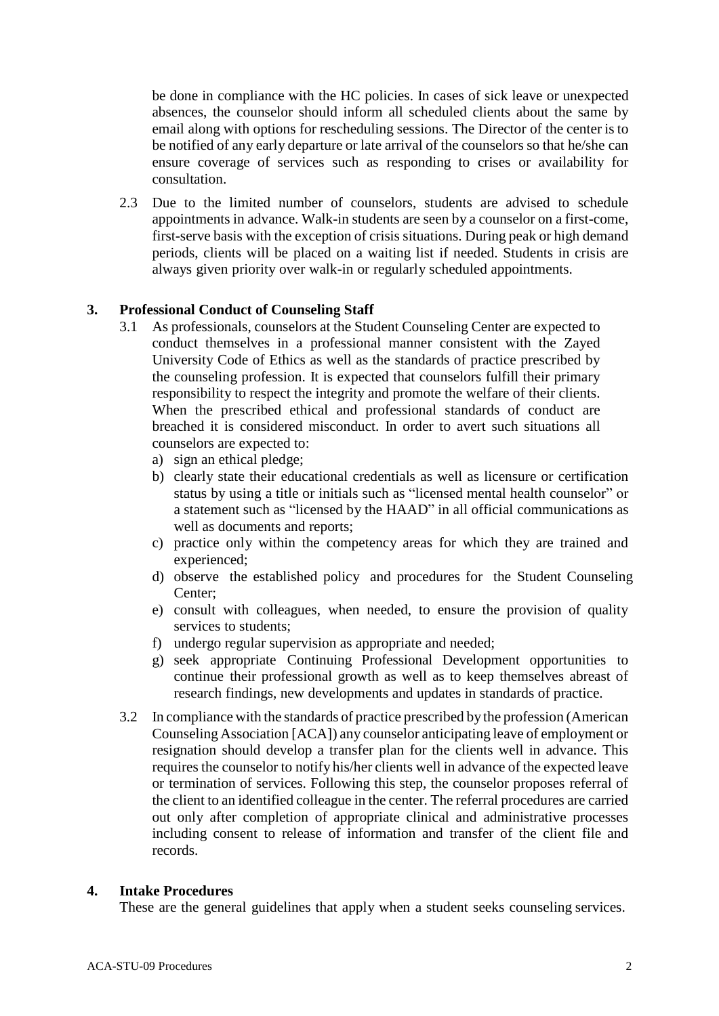be done in compliance with the HC policies. In cases of sick leave or unexpected absences, the counselor should inform all scheduled clients about the same by email along with options for rescheduling sessions. The Director of the center is to be notified of any early departure or late arrival of the counselors so that he/she can ensure coverage of services such as responding to crises or availability for consultation.

2.3 Due to the limited number of counselors, students are advised to schedule appointments in advance. Walk-in students are seen by a counselor on a first-come, first-serve basis with the exception of crisis situations. During peak or high demand periods, clients will be placed on a waiting list if needed. Students in crisis are always given priority over walk-in or regularly scheduled appointments.

## **3. Professional Conduct of Counseling Staff**

- 3.1 As professionals, counselors at the Student Counseling Center are expected to conduct themselves in a professional manner consistent with the Zayed University Code of Ethics as well as the standards of practice prescribed by the counseling profession. It is expected that counselors fulfill their primary responsibility to respect the integrity and promote the welfare of their clients. When the prescribed ethical and professional standards of conduct are breached it is considered misconduct. In order to avert such situations all counselors are expected to:
	- a) sign an ethical pledge;
	- b) clearly state their educational credentials as well as licensure or certification status by using a title or initials such as "licensed mental health counselor" or a statement such as "licensed by the HAAD" in all official communications as well as documents and reports;
	- c) practice only within the competency areas for which they are trained and experienced;
	- d) observe the established policy and procedures for the Student Counseling Center;
	- e) consult with colleagues, when needed, to ensure the provision of quality services to students;
	- f) undergo regular supervision as appropriate and needed;
	- g) seek appropriate Continuing Professional Development opportunities to continue their professional growth as well as to keep themselves abreast of research findings, new developments and updates in standards of practice.
- 3.2 In compliance with the standards of practice prescribed by the profession (American Counseling Association [ACA]) any counselor anticipating leave of employment or resignation should develop a transfer plan for the clients well in advance. This requires the counselor to notify his/her clients well in advance of the expected leave or termination of services. Following this step, the counselor proposes referral of the client to an identified colleague in the center. The referral procedures are carried out only after completion of appropriate clinical and administrative processes including consent to release of information and transfer of the client file and records.

#### **4. Intake Procedures**

These are the general guidelines that apply when a student seeks counseling services.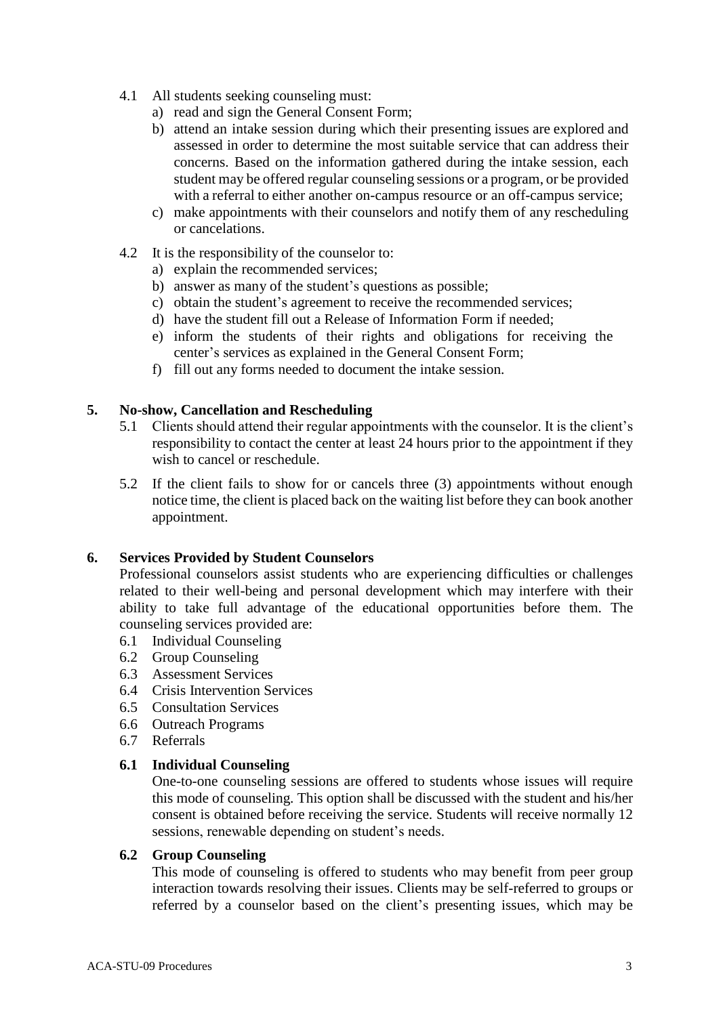- 4.1 All students seeking counseling must:
	- a) read and sign the General Consent Form;
	- b) attend an intake session during which their presenting issues are explored and assessed in order to determine the most suitable service that can address their concerns. Based on the information gathered during the intake session, each student may be offered regular counseling sessions or a program, or be provided with a referral to either another on-campus resource or an off-campus service:
	- c) make appointments with their counselors and notify them of any rescheduling or cancelations.
- 4.2 It is the responsibility of the counselor to:
	- a) explain the recommended services;
	- b) answer as many of the student's questions as possible;
	- c) obtain the student's agreement to receive the recommended services;
	- d) have the student fill out a Release of Information Form if needed;
	- e) inform the students of their rights and obligations for receiving the center's services as explained in the General Consent Form;
	- f) fill out any forms needed to document the intake session.

## **5. No-show, Cancellation and Rescheduling**

- 5.1 Clients should attend their regular appointments with the counselor. It is the client's responsibility to contact the center at least 24 hours prior to the appointment if they wish to cancel or reschedule.
- 5.2 If the client fails to show for or cancels three (3) appointments without enough notice time, the client is placed back on the waiting list before they can book another appointment.

## **6. Services Provided by Student Counselors**

Professional counselors assist students who are experiencing difficulties or challenges related to their well-being and personal development which may interfere with their ability to take full advantage of the educational opportunities before them. The counseling services provided are:

- 6.1 Individual Counseling
- 6.2 Group Counseling
- 6.3 Assessment Services
- 6.4 Crisis Intervention Services
- 6.5 Consultation Services
- 6.6 Outreach Programs
- 6.7 Referrals

## **6.1 Individual Counseling**

One-to-one counseling sessions are offered to students whose issues will require this mode of counseling. This option shall be discussed with the student and his/her consent is obtained before receiving the service. Students will receive normally 12 sessions, renewable depending on student's needs.

## **6.2 Group Counseling**

This mode of counseling is offered to students who may benefit from peer group interaction towards resolving their issues. Clients may be self-referred to groups or referred by a counselor based on the client's presenting issues, which may be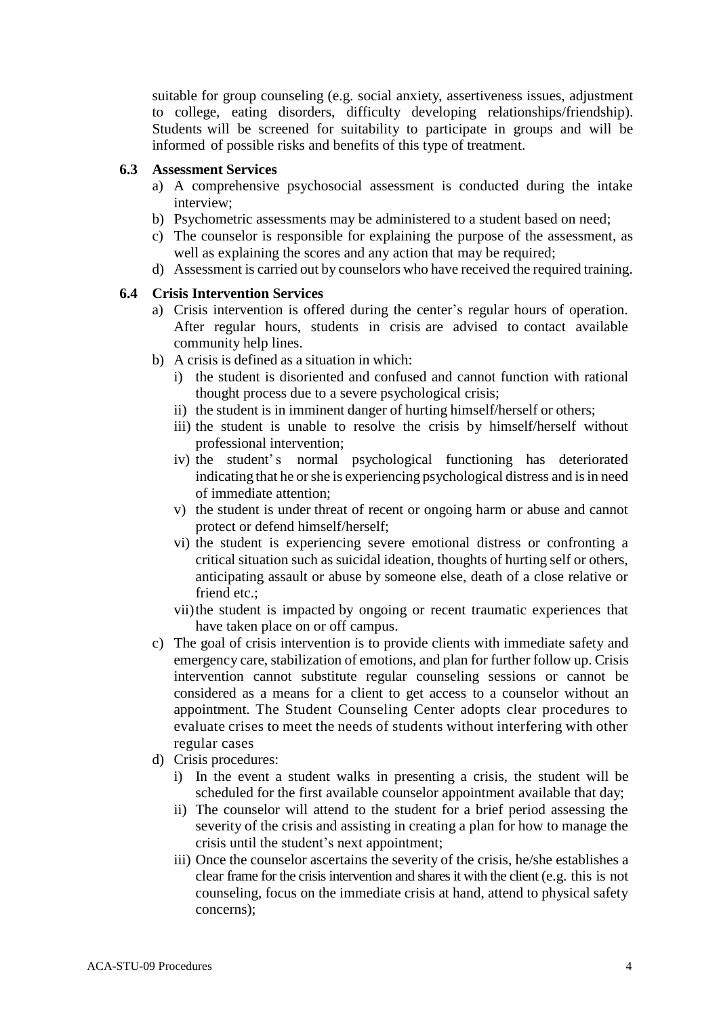suitable for group counseling (e.g. social anxiety, assertiveness issues, adjustment to college, eating disorders, difficulty developing relationships/friendship). Students will be screened for suitability to participate in groups and will be informed of possible risks and benefits of this type of treatment.

#### **6.3 Assessment Services**

- a) A comprehensive psychosocial assessment is conducted during the intake interview;
- b) Psychometric assessments may be administered to a student based on need;
- c) The counselor is responsible for explaining the purpose of the assessment, as well as explaining the scores and any action that may be required;
- d) Assessment is carried out by counselors who have received the required training.

#### **6.4 Crisis Intervention Services**

- a) Crisis intervention is offered during the center's regular hours of operation. After regular hours, students in crisis are advised to contact available community help lines.
- b) A crisis is defined as a situation in which:
	- i) the student is disoriented and confused and cannot function with rational thought process due to a severe psychological crisis;
	- ii) the student is in imminent danger of hurting himself/herself or others;
	- iii) the student is unable to resolve the crisis by himself/herself without professional intervention;
	- iv) the student's normal psychological functioning has deteriorated indicating that he or she is experiencing psychological distress and is in need of immediate attention;
	- v) the student is under threat of recent or ongoing harm or abuse and cannot protect or defend himself/herself;
	- vi) the student is experiencing severe emotional distress or confronting a critical situation such as suicidal ideation, thoughts of hurting self or others, anticipating assault or abuse by someone else, death of a close relative or friend etc.;
	- vii)the student is impacted by ongoing or recent traumatic experiences that have taken place on or off campus.
- c) The goal of crisis intervention is to provide clients with immediate safety and emergency care, stabilization of emotions, and plan for further follow up. Crisis intervention cannot substitute regular counseling sessions or cannot be considered as a means for a client to get access to a counselor without an appointment. The Student Counseling Center adopts clear procedures to evaluate crises to meet the needs of students without interfering with other regular cases
- d) Crisis procedures:
	- i) In the event a student walks in presenting a crisis, the student will be scheduled for the first available counselor appointment available that day;
	- ii) The counselor will attend to the student for a brief period assessing the severity of the crisis and assisting in creating a plan for how to manage the crisis until the student's next appointment;
	- iii) Once the counselor ascertains the severity of the crisis, he/she establishes a clear frame for the crisis intervention and shares it with the client (e.g. this is not counseling, focus on the immediate crisis at hand, attend to physical safety concerns);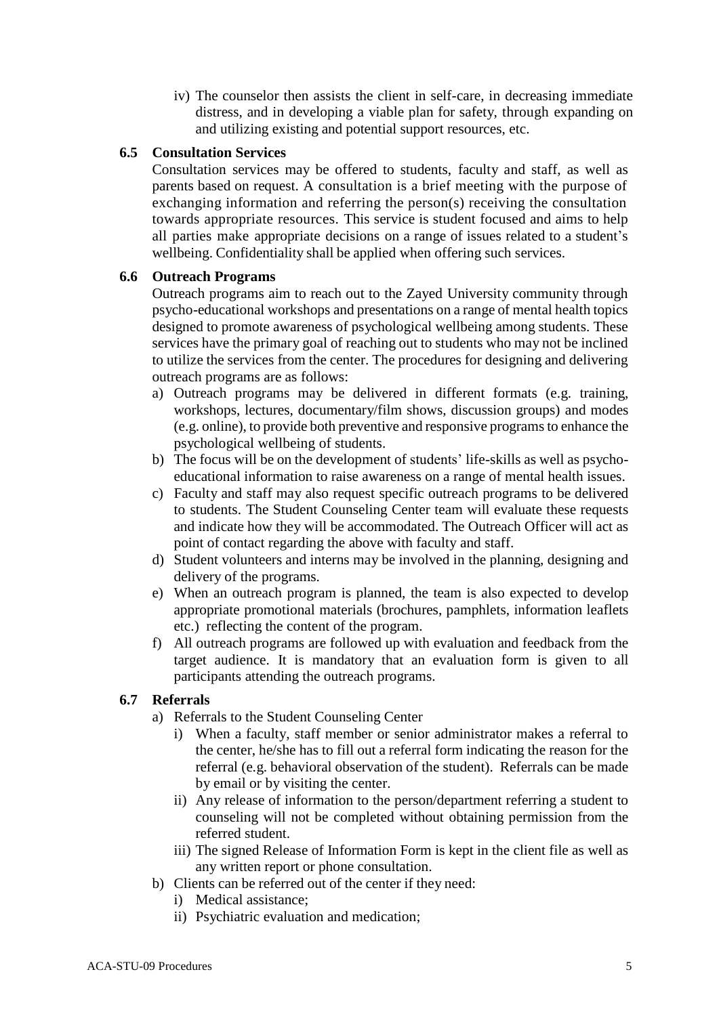iv) The counselor then assists the client in self-care, in decreasing immediate distress, and in developing a viable plan for safety, through expanding on and utilizing existing and potential support resources, etc.

## **6.5 Consultation Services**

Consultation services may be offered to students, faculty and staff, as well as parents based on request. A consultation is a brief meeting with the purpose of exchanging information and referring the person(s) receiving the consultation towards appropriate resources. This service is student focused and aims to help all parties make appropriate decisions on a range of issues related to a student's wellbeing. Confidentiality shall be applied when offering such services.

#### **6.6 Outreach Programs**

Outreach programs aim to reach out to the Zayed University community through psycho-educational workshops and presentations on a range of mental health topics designed to promote awareness of psychological wellbeing among students. These services have the primary goal of reaching out to students who may not be inclined to utilize the services from the center. The procedures for designing and delivering outreach programs are as follows:

- a) Outreach programs may be delivered in different formats (e.g. training, workshops, lectures, documentary/film shows, discussion groups) and modes (e.g. online), to provide both preventive and responsive programsto enhance the psychological wellbeing of students.
- b) The focus will be on the development of students' life-skills as well as psychoeducational information to raise awareness on a range of mental health issues.
- c) Faculty and staff may also request specific outreach programs to be delivered to students. The Student Counseling Center team will evaluate these requests and indicate how they will be accommodated. The Outreach Officer will act as point of contact regarding the above with faculty and staff.
- d) Student volunteers and interns may be involved in the planning, designing and delivery of the programs.
- e) When an outreach program is planned, the team is also expected to develop appropriate promotional materials (brochures, pamphlets, information leaflets etc.) reflecting the content of the program.
- f) All outreach programs are followed up with evaluation and feedback from the target audience. It is mandatory that an evaluation form is given to all participants attending the outreach programs.

## **6.7 Referrals**

- a) Referrals to the Student Counseling Center
	- i) When a faculty, staff member or senior administrator makes a referral to the center, he/she has to fill out a referral form indicating the reason for the referral (e.g. behavioral observation of the student). Referrals can be made by email or by visiting the center.
	- ii) Any release of information to the person/department referring a student to counseling will not be completed without obtaining permission from the referred student.
	- iii) The signed Release of Information Form is kept in the client file as well as any written report or phone consultation.
- b) Clients can be referred out of the center if they need:
	- i) Medical assistance;
	- ii) Psychiatric evaluation and medication;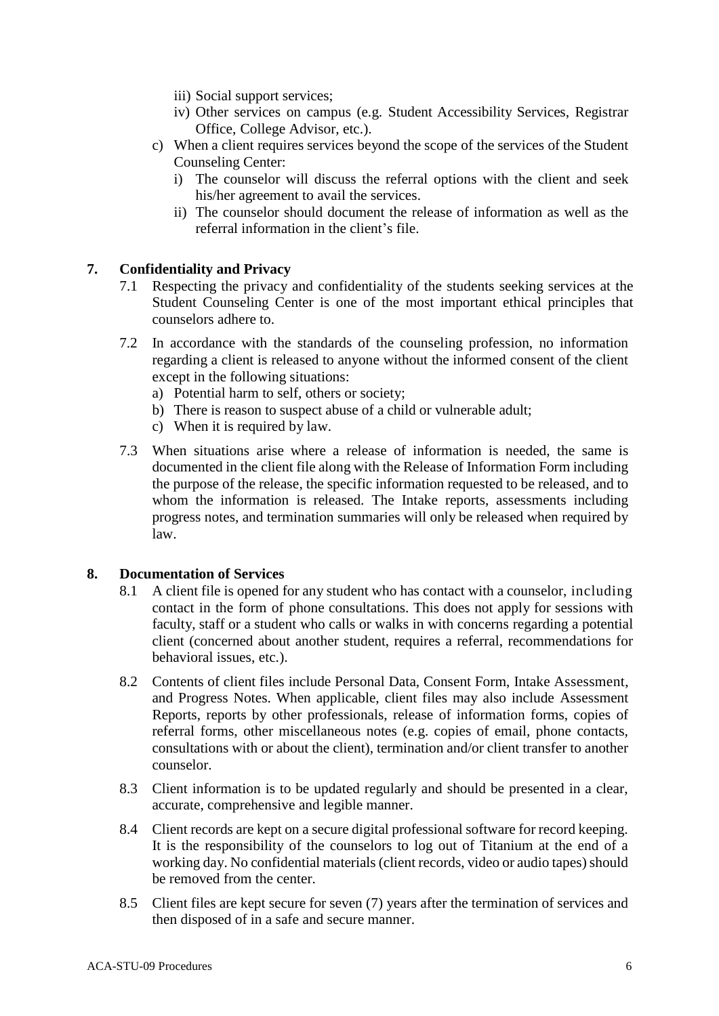- iii) Social support services;
- iv) Other services on campus (e.g. Student Accessibility Services, Registrar Office, College Advisor, etc.).
- c) When a client requires services beyond the scope of the services of the Student Counseling Center:
	- i) The counselor will discuss the referral options with the client and seek his/her agreement to avail the services.
	- ii) The counselor should document the release of information as well as the referral information in the client's file.

## **7. Confidentiality and Privacy**

- 7.1 Respecting the privacy and confidentiality of the students seeking services at the Student Counseling Center is one of the most important ethical principles that counselors adhere to.
- 7.2 In accordance with the standards of the counseling profession, no information regarding a client is released to anyone without the informed consent of the client except in the following situations:
	- a) Potential harm to self, others or society;
	- b) There is reason to suspect abuse of a child or vulnerable adult;
	- c) When it is required by law.
- 7.3 When situations arise where a release of information is needed, the same is documented in the client file along with the Release of Information Form including the purpose of the release, the specific information requested to be released, and to whom the information is released. The Intake reports, assessments including progress notes, and termination summaries will only be released when required by law.

## **8. Documentation of Services**

- 8.1 A client file is opened for any student who has contact with a counselor, including contact in the form of phone consultations. This does not apply for sessions with faculty, staff or a student who calls or walks in with concerns regarding a potential client (concerned about another student, requires a referral, recommendations for behavioral issues, etc.).
- 8.2 Contents of client files include Personal Data, Consent Form, Intake Assessment, and Progress Notes. When applicable, client files may also include Assessment Reports, reports by other professionals, release of information forms, copies of referral forms, other miscellaneous notes (e.g. copies of email, phone contacts, consultations with or about the client), termination and/or client transfer to another counselor.
- 8.3 Client information is to be updated regularly and should be presented in a clear, accurate, comprehensive and legible manner.
- 8.4 Client records are kept on a secure digital professional software for record keeping. It is the responsibility of the counselors to log out of Titanium at the end of a working day. No confidential materials (client records, video or audio tapes) should be removed from the center.
- 8.5 Client files are kept secure for seven (7) years after the termination of services and then disposed of in a safe and secure manner.